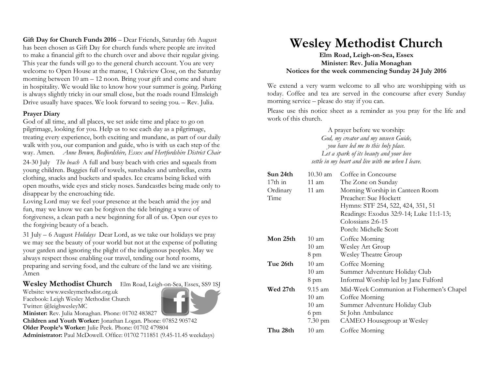Gift Day for Church Funds 2016 – Dear Friends, Saturday 6th August has been chosen as Gift Day for church funds where people are invited to make a financial gift to the church over and above their regular giving. This year the funds will go to the general church account. You are very welcome to Open House at the manse, 1 Oakview Close, on the Saturday morning between 10 am – 12 noon. Bring your gift and come and share in hospitality. We would like to know how your summer is going. Parking is always slightly tricky in our small close, but the roads round Elmsleigh Drive usually have spaces. We look forward to seeing you. – Rev. Julia.

## **Prayer Diary**

God of all time, and all places, we set aside time and place to go on pilgrimage, looking for you. Help us to see each day as a pilgrimage, treating every experience, both exciting and mundane, as part of our daily walk with you, our companion and guide, who is with us each step of the way. Amen. *Anne Brown, Bedfordshire, Essex and Hertfordshire District Chair*

24-30 July *The beach* A full and busy beach with cries and squeals from young children. Buggies full of towels, sunshades and umbrellas, extra clothing, snacks and buckets and spades. Ice creams being licked with open mouths, wide eyes and sticky noses. Sandcastles being made only to disappear by the encroaching tide.

Loving Lord may we feel your presence at the beach amid the joy and fun, may we know we can be forgiven the tide bringing a wave of forgiveness, a clean path a new beginning for all of us. Open our eyes to the forgiving beauty of a beach.

31 July – 6 August *Holidays* Dear Lord, as we take our holidays we pray we may see the beauty of your world but not at the expense of polluting your garden and ignoring the plight of the indigenous peoples. May we always respect those enabling our travel, tending our hotel rooms, preparing and serving food, and the culture of the land we are visiting. Amen

## **Wesley Methodist Church** Elm Road, Leigh-on-Sea, Essex, SS9 1SJ

Website: www.wesleymethodist.org.uk Facebook: Leigh Wesley Methodist Church Twitter: @leighwesleyMC



**Minister:** Rev. Julia Monaghan. Phone: 01702 483827

**Children and Youth Worker:** Jonathan Logan. Phone: 07852 905742 **Older People's Worker:** Julie Peek. Phone: 01702 479804

**Administrator:** Paul McDowell. Office: 01702 711851 (9.45-11.45 weekdays)

## **Wesley Methodist Church**

**Elm Road, Leigh-on-Sea, Essex Minister: Rev. Julia Monaghan Notices for the week commencing Sunday 24 July 2016**

We extend a very warm welcome to all who are worshipping with us today. Coffee and tea are served in the concourse after every Sunday morning service – please do stay if you can.

Please use this notice sheet as a reminder as you pray for the life and work of this church.

> A prayer before we worship: *God, my creator and my unseen Guide, you have led me to this holy place. Let a spark of its beauty and your love settle in my heart and live with me when I leave.*

| Sun 24th  | $10.30$ am        | Coffee in Concourse                      |
|-----------|-------------------|------------------------------------------|
| $17th$ in | $11 \text{ am}$   | The Zone on Sunday                       |
| Ordinary  | 11 am             | Morning Worship in Canteen Room          |
| Time      |                   | Preacher: Sue Hockett                    |
|           |                   | Hymns: STF 254, 522, 424, 351, 51        |
|           |                   | Readings: Exodus 32:9-14; Luke 11:1-13;  |
|           |                   | Colossians 2:6-15                        |
|           |                   | Porch: Michelle Scott                    |
| Mon 25th  | $10 \text{ am}$   | Coffee Morning                           |
|           | $10 \text{ am}$   | Wesley Art Group                         |
|           | 8 pm              | <b>Wesley Theatre Group</b>              |
| Tue 26th  | $10 \text{ am}$   | Coffee Morning                           |
|           | 10 am             | Summer Adventure Holiday Club            |
|           | 8 pm              | Informal Worship led by Jane Fulford     |
| Wed 27th  | $9.15 \text{ am}$ | Mid-Week Communion at Fishermen's Chapel |
|           | $10 \text{ am}$   | Coffee Morning                           |
|           | 10 am             | Summer Adventure Holiday Club            |
|           | 6 pm              | St John Ambulance                        |
|           | $7.30 \text{ pm}$ | CAMEO Housegroup at Wesley               |
| Thu 28th  | $10 \text{ am}$   | Coffee Morning                           |